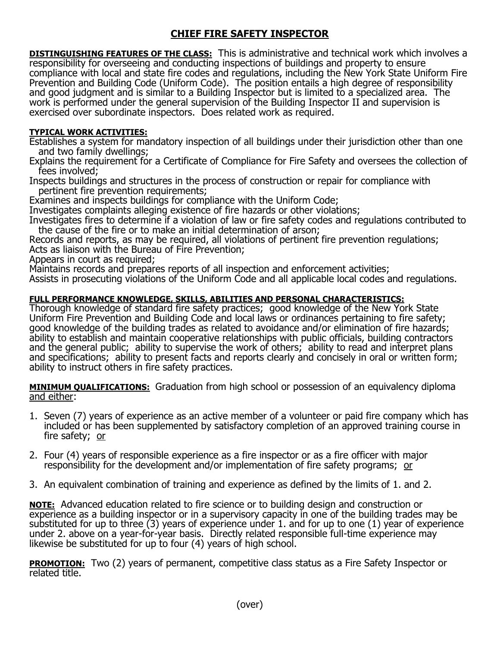## **CHIEF FIRE SAFETY INSPECTOR**

**DISTINGUISHING FEATURES OF THE CLASS:** This is administrative and technical work which involves a responsibility for overseeing and conducting inspections of buildings and property to ensure compliance with local and state fire codes and regulations, including the New York State Uniform Fire Prevention and Building Code (Uniform Code). The position entails a high degree of responsibility and good judgment and is similar to a Building Inspector but is limited to a specialized area. The work is performed under the general supervision of the Building Inspector II and supervision is exercised over subordinate inspectors. Does related work as required.

## **TYPICAL WORK ACTIVITIES:**

Establishes a system for mandatory inspection of all buildings under their jurisdiction other than one and two family dwellings;

Explains the requirement for a Certificate of Compliance for Fire Safety and oversees the collection of fees involved;

Inspects buildings and structures in the process of construction or repair for compliance with pertinent fire prevention requirements;

Examines and inspects buildings for compliance with the Uniform Code;

Investigates complaints alleging existence of fire hazards or other violations;

Investigates fires to determine if a violation of law or fire safety codes and regulations contributed to the cause of the fire or to make an initial determination of arson;

Records and reports, as may be required, all violations of pertinent fire prevention regulations; Acts as liaison with the Bureau of Fire Prevention;

Appears in court as required;

Maintains records and prepares reports of all inspection and enforcement activities;

Assists in prosecuting violations of the Uniform Code and all applicable local codes and regulations.

## **FULL PERFORMANCE KNOWLEDGE, SKILLS, ABILITIES AND PERSONAL CHARACTERISTICS:**

Thorough knowledge of standard fire safety practices; good knowledge of the New York State Uniform Fire Prevention and Building Code and local laws or ordinances pertaining to fire safety; good knowledge of the building trades as related to avoidance and/or elimination of fire hazards; ability to establish and maintain cooperative relationships with public officials, building contractors and the general public; ability to supervise the work of others; ability to read and interpret plans and specifications; ability to present facts and reports clearly and concisely in oral or written form; ability to instruct others in fire safety practices.

**MINIMUM QUALIFICATIONS:** Graduation from high school or possession of an equivalency diploma and either:

- 1. Seven (7) years of experience as an active member of a volunteer or paid fire company which has included or has been supplemented by satisfactory completion of an approved training course in fire safety; or
- 2. Four (4) years of responsible experience as a fire inspector or as a fire officer with major responsibility for the development and/or implementation of fire safety programs; or
- 3. An equivalent combination of training and experience as defined by the limits of 1. and 2.

**NOTE:** Advanced education related to fire science or to building design and construction or experience as a building inspector or in a supervisory capacity in one of the building trades may be substituted for up to three (3) years of experience under 1. and for up to one (1) year of experience under 2. above on a year-for-year basis. Directly related responsible full-time experience may likewise be substituted for up to four (4) years of high school.

**PROMOTION:** Two (2) years of permanent, competitive class status as a Fire Safety Inspector or related title.